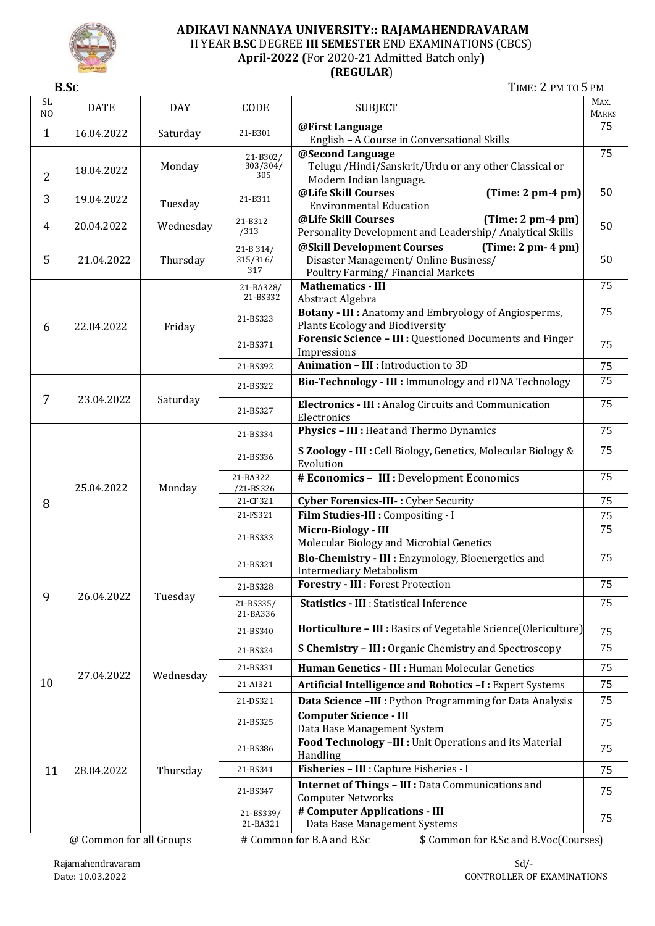

II YEAR **B.SC** DEGREE **III SEMESTER** END EXAMINATIONS (CBCS)

**April-2022 (**For 2020-21 Admitted Batch only**)**

### **(REGULAR**)

**B.SC** TIME: 2 PM TO 5 PM

| SL<br>N <sub>O</sub> | <b>DATE</b>             | <b>DAY</b>                      | CODE                             | <b>SUBJECT</b>                                                                                                                  | MAX.<br><b>MARKS</b> |
|----------------------|-------------------------|---------------------------------|----------------------------------|---------------------------------------------------------------------------------------------------------------------------------|----------------------|
| 1                    | 16.04.2022              | Saturday                        | 21-B301                          | @First Language<br>English - A Course in Conversational Skills                                                                  | 75                   |
| $\overline{2}$       | 18.04.2022              | Monday                          | 21-B302/<br>303/304/<br>305      | @Second Language<br>Telugu / Hindi/Sanskrit/Urdu or any other Classical or<br>Modern Indian language.                           | 75                   |
| 3                    | 19.04.2022              | Tuesday                         | 21-B311                          | @Life Skill Courses<br>$(Time: 2 pm-4 pm)$<br><b>Environmental Education</b>                                                    | 50                   |
| 4                    | 20.04.2022              | Wednesday                       | 21-B312<br>/313                  | @Life Skill Courses<br>$(Time: 2 pm-4 pm)$<br>Personality Development and Leadership/ Analytical Skills                         | 50                   |
| 5                    | 21.04.2022              | Thursday                        | $21 - B 314/$<br>315/316/<br>317 | @Skill Development Courses<br>$(Time: 2 pm-4 pm)$<br>Disaster Management/ Online Business/<br>Poultry Farming/Financial Markets | 50                   |
|                      |                         |                                 | 21-BA328/<br>21-BS332            | <b>Mathematics - III</b><br>Abstract Algebra                                                                                    | 75                   |
| 6                    | 22.04.2022              | Friday                          | 21-BS323                         | Botany - III : Anatomy and Embryology of Angiosperms,<br>Plants Ecology and Biodiversity                                        | 75                   |
|                      |                         |                                 | 21-BS371                         | Forensic Science - III : Questioned Documents and Finger<br>Impressions                                                         | 75                   |
|                      |                         |                                 | 21-BS392                         | Animation - III : Introduction to 3D                                                                                            | 75                   |
|                      |                         |                                 | 21-BS322                         | Bio-Technology - III : Immunology and rDNA Technology                                                                           | $\overline{75}$      |
| 7                    | 23.04.2022              | Saturday                        | 21-BS327                         | Electronics - III : Analog Circuits and Communication<br>Electronics                                                            | 75                   |
|                      | 25.04.2022              | Monday<br>26.04.2022<br>Tuesday | 21-BS334                         | Physics - III : Heat and Thermo Dynamics                                                                                        | 75                   |
|                      |                         |                                 | 21-BS336                         | \$ Zoology - III : Cell Biology, Genetics, Molecular Biology &<br>Evolution                                                     | 75                   |
|                      |                         |                                 | 21-BA322                         | # Economics - III : Development Economics                                                                                       | 75                   |
|                      |                         |                                 | /21-BS326<br>21-CF321            | Cyber Forensics-III-: Cyber Security                                                                                            | 75                   |
| 8                    |                         |                                 | 21-FS321                         | Film Studies-III : Compositing - I                                                                                              | 75                   |
|                      |                         |                                 |                                  | Micro-Biology - III                                                                                                             | 75                   |
|                      |                         |                                 | 21-BS333                         | Molecular Biology and Microbial Genetics                                                                                        |                      |
|                      |                         |                                 | 21-BS321                         | Bio-Chemistry - III : Enzymology, Bioenergetics and<br><b>Intermediary Metabolism</b>                                           | 75                   |
|                      |                         |                                 | 21-BS328                         | Forestry - III : Forest Protection                                                                                              | 75                   |
| 9                    |                         |                                 | 21-BS335/<br>21-BA336            | <b>Statistics - III : Statistical Inference</b>                                                                                 | 75                   |
|                      |                         |                                 | 21-BS340                         | Horticulture - III : Basics of Vegetable Science(Olericulture)                                                                  | 75                   |
|                      |                         |                                 | 21-BS324                         | <b>\$ Chemistry - III : Organic Chemistry and Spectroscopy</b>                                                                  | 75                   |
|                      |                         |                                 | 21-BS331                         | Human Genetics - III : Human Molecular Genetics                                                                                 | 75                   |
| 10                   | 27.04.2022              | Wednesday                       | 21-AI321                         | Artificial Intelligence and Robotics -I : Expert Systems                                                                        | 75                   |
|                      |                         |                                 | 21-DS321                         | Data Science -III : Python Programming for Data Analysis                                                                        | 75                   |
|                      |                         |                                 | 21-BS325                         | <b>Computer Science - III</b><br>Data Base Management System                                                                    | 75                   |
|                      |                         |                                 | 21-BS386                         | Food Technology -III : Unit Operations and its Material<br>Handling                                                             | 75                   |
| 11                   | 28.04.2022              | Thursday                        | 21-BS341                         | Fisheries - III : Capture Fisheries - I                                                                                         | 75                   |
|                      |                         |                                 | 21-BS347                         | Internet of Things - III : Data Communications and<br><b>Computer Networks</b>                                                  | 75                   |
|                      |                         |                                 | 21-BS339/<br>21-BA321            | # Computer Applications - III<br>Data Base Management Systems                                                                   | 75                   |
|                      | @ Common for all Groups |                                 |                                  | \$ Common for B.Sc and B.Voc(Courses)<br># Common for B.A and B.Sc                                                              |                      |

Rajamahendravaram Sd/-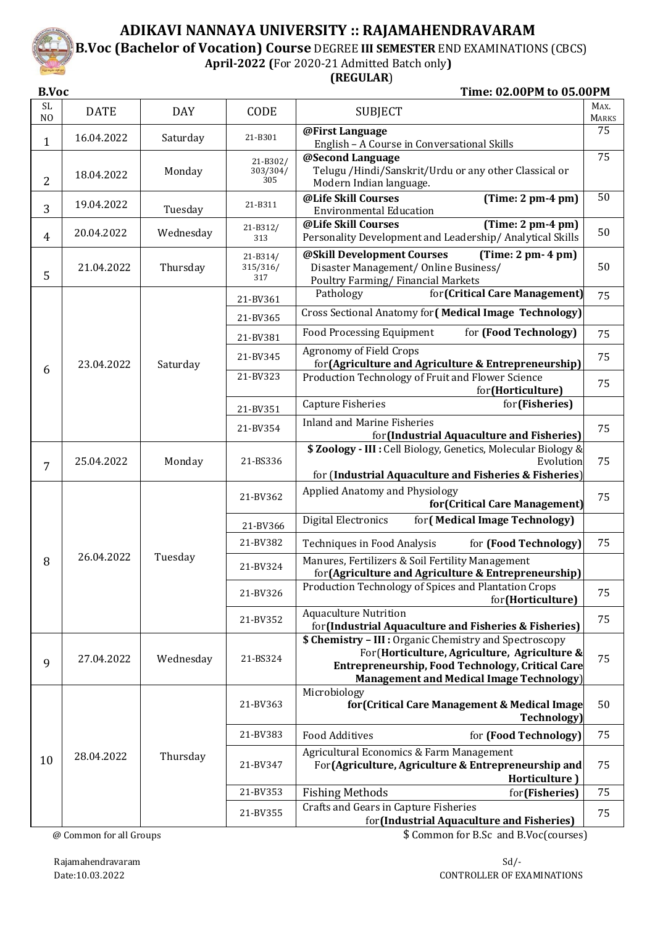

 **B.Voc (Bachelor of Vocation) Course** DEGREE **III SEMESTER** END EXAMINATIONS (CBCS)

## **April-2022 (**For 2020-21 Admitted Batch only**)**

**(REGULAR**)

#### **B.Voc** Time: 02.00PM to 05.00PM

| <b>SL</b><br>N <sub>O</sub> | <b>DATE</b> | <b>DAY</b> | CODE                            | <b>SUBJECT</b>                                                                                                                                                                                                         | MAX.<br><b>MARKS</b> |
|-----------------------------|-------------|------------|---------------------------------|------------------------------------------------------------------------------------------------------------------------------------------------------------------------------------------------------------------------|----------------------|
| $\mathbf{1}$                | 16.04.2022  | Saturday   | 21-B301                         | @First Language<br>English - A Course in Conversational Skills                                                                                                                                                         | 75                   |
| $\overline{2}$              | 18.04.2022  | Monday     | 21-B302/<br>303/304/<br>305     | @Second Language<br>Telugu / Hindi/Sanskrit/Urdu or any other Classical or<br>Modern Indian language.                                                                                                                  | 75                   |
| 3                           | 19.04.2022  | Tuesday    | 21-B311                         | @Life Skill Courses<br>$(Time: 2 pm-4 pm)$<br><b>Environmental Education</b>                                                                                                                                           | 50                   |
| $\overline{4}$              | 20.04.2022  | Wednesday  | 21-B312/<br>313                 | $(Time: 2 pm-4 pm)$<br>@Life Skill Courses<br>Personality Development and Leadership/ Analytical Skills                                                                                                                | 50                   |
| 5                           | 21.04.2022  | Thursday   | $21 - B314/$<br>315/316/<br>317 | $(Time: 2 pm-4 pm)$<br>@Skill Development Courses<br>Disaster Management/ Online Business/<br>Poultry Farming/Financial Markets                                                                                        | 50                   |
|                             |             |            | 21-BV361                        | Pathology<br>for (Critical Care Management)                                                                                                                                                                            | 75                   |
|                             |             |            | 21-BV365                        | Cross Sectional Anatomy for (Medical Image Technology)                                                                                                                                                                 |                      |
|                             |             |            | 21-BV381                        | for (Food Technology)<br><b>Food Processing Equipment</b>                                                                                                                                                              | 75                   |
| 6                           | 23.04.2022  | Saturday   | 21-BV345                        | <b>Agronomy of Field Crops</b><br>for (Agriculture and Agriculture & Entrepreneurship)                                                                                                                                 | 75                   |
|                             |             |            | 21-BV323                        | Production Technology of Fruit and Flower Science<br>for(Horticulture)                                                                                                                                                 | 75                   |
|                             |             |            | 21-BV351                        | <b>Capture Fisheries</b><br>for(Fisheries)                                                                                                                                                                             |                      |
|                             |             |            | 21-BV354                        | <b>Inland and Marine Fisheries</b><br>for (Industrial Aquaculture and Fisheries)                                                                                                                                       | 75                   |
| $\overline{7}$              | 25.04.2022  | Monday     | 21-BS336                        | \$ Zoology - III : Cell Biology, Genetics, Molecular Biology &<br>Evolution<br>for (Industrial Aquaculture and Fisheries & Fisheries)                                                                                  | 75                   |
|                             |             |            | 21-BV362                        | Applied Anatomy and Physiology<br>for(Critical Care Management)                                                                                                                                                        | 75                   |
|                             |             |            | 21-BV366                        | Digital Electronics<br>for (Medical Image Technology)                                                                                                                                                                  |                      |
|                             |             |            | 21-BV382                        | <b>Techniques in Food Analysis</b><br>for (Food Technology)                                                                                                                                                            | 75                   |
| 8                           | 26.04.2022  | Tuesday    | 21-BV324                        | Manures, Fertilizers & Soil Fertility Management<br>for (Agriculture and Agriculture & Entrepreneurship)                                                                                                               |                      |
|                             |             |            | 21-BV326                        | Production Technology of Spices and Plantation Crops<br>for(Horticulture)                                                                                                                                              | 75                   |
|                             |             |            | 21-BV352                        | <b>Aquaculture Nutrition</b><br>for (Industrial Aquaculture and Fisheries & Fisheries)                                                                                                                                 | 75                   |
| 9                           | 27.04.2022  | Wednesday  | 21-BS324                        | <b>\$ Chemistry - III : Organic Chemistry and Spectroscopy</b><br>For (Horticulture, Agriculture, Agriculture &<br>Entrepreneurship, Food Technology, Critical Care<br><b>Management and Medical Image Technology)</b> | 75                   |
|                             | 28.04.2022  | Thursday   | 21-BV363                        | Microbiology<br>for (Critical Care Management & Medical Image<br><b>Technology</b> )                                                                                                                                   | 50                   |
|                             |             |            | 21-BV383                        | <b>Food Additives</b><br>for (Food Technology)                                                                                                                                                                         | 75                   |
| 10                          |             |            | 21-BV347                        | Agricultural Economics & Farm Management<br>For (Agriculture, Agriculture & Entrepreneurship and<br>Horticulture)                                                                                                      | 75                   |
|                             |             |            | 21-BV353                        | <b>Fishing Methods</b><br>for(Fisheries)                                                                                                                                                                               | 75                   |
|                             |             |            | 21-BV355                        | Crafts and Gears in Capture Fisheries<br>for (Industrial Aquaculture and Fisheries)                                                                                                                                    | 75                   |

@ Common for all Groups \$ Common for B.Sc and B.Voc(courses)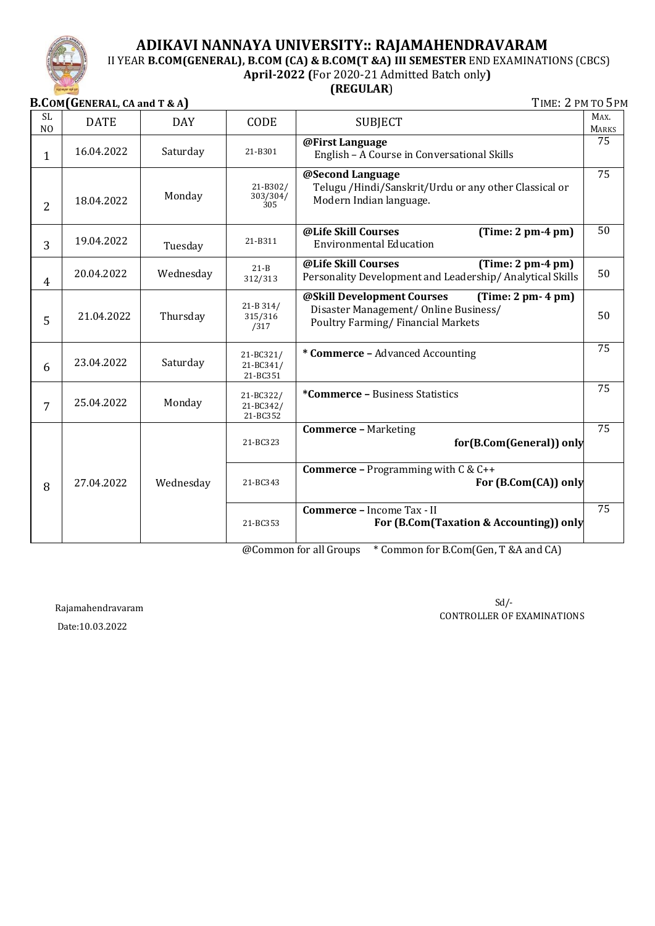II YEAR **B.COM(GENERAL), B.COM (CA) & B.COM(T &A) III SEMESTER** END EXAMINATIONS (CBCS)

## **April-2022 (**For 2020-21 Admitted Batch only**)**

### **(REGULAR**)

| 'ime: 2 pm to 5 pm |  |  |  |  |  |  |
|--------------------|--|--|--|--|--|--|
|--------------------|--|--|--|--|--|--|

|                             | <b>B.COM(GENERAL, CA and T &amp; A)</b> |            |                                    | TIME: 2 PM TO 5 PM                                                                                                              |                      |
|-----------------------------|-----------------------------------------|------------|------------------------------------|---------------------------------------------------------------------------------------------------------------------------------|----------------------|
| <b>SL</b><br>N <sub>O</sub> | <b>DATE</b>                             | <b>DAY</b> | CODE                               | <b>SUBJECT</b>                                                                                                                  | MAX.<br><b>MARKS</b> |
| $\mathbf{1}$                | 16.04.2022                              | Saturday   | 21-B301                            | @First Language<br>English - A Course in Conversational Skills                                                                  | 75                   |
| $\overline{2}$              | 18.04.2022                              | Monday     | 21-B302/<br>303/304/<br>305        | @Second Language<br>Telugu /Hindi/Sanskrit/Urdu or any other Classical or<br>Modern Indian language.                            | 75                   |
| 3                           | 19.04.2022                              | Tuesday    | 21-B311                            | @Life Skill Courses<br>$(Time: 2 pm-4 pm)$<br><b>Environmental Education</b>                                                    | 50                   |
| $\overline{4}$              | 20.04.2022                              | Wednesday  | $21 - B$<br>312/313                | @Life Skill Courses<br>$(Time: 2 pm-4 pm)$<br>Personality Development and Leadership/Analytical Skills                          | 50                   |
| 5                           | 21.04.2022                              | Thursday   | 21-B 314/<br>315/316<br>/317       | @Skill Development Courses<br>$(Time: 2 pm-4 pm)$<br>Disaster Management/ Online Business/<br>Poultry Farming/Financial Markets | 50                   |
| 6                           | 23.04.2022                              | Saturday   | 21-BC321/<br>21-BC341/<br>21-BC351 | * Commerce - Advanced Accounting                                                                                                | 75                   |
| 7                           | 25.04.2022                              | Monday     | 21-BC322/<br>21-BC342/<br>21-BC352 | *Commerce - Business Statistics                                                                                                 | 75                   |
|                             |                                         |            | 21-BC323                           | <b>Commerce - Marketing</b><br>for(B.Com(General)) only                                                                         | 75                   |
| 8                           | 27.04.2022                              | Wednesday  | 21-BC343                           | <b>Commerce - Programming with C &amp; C++</b><br>For (B.Com(CA)) only                                                          |                      |
|                             |                                         |            | 21-BC353                           | Commerce - Income Tax - II<br>For (B.Com(Taxation & Accounting)) only                                                           | 75                   |
|                             |                                         |            |                                    |                                                                                                                                 |                      |

@Common for all Groups \* Common for B.Com(Gen, T &A and CA)

Rajamahendravaram Date:10.03.2022

 Sd/- CONTROLLER OF EXAMINATIONS

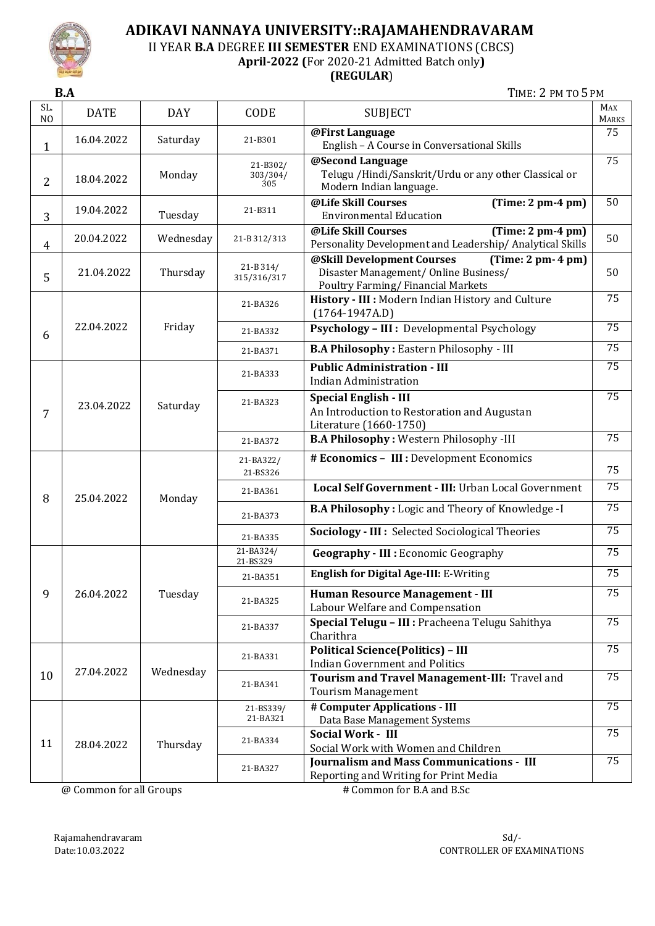

II YEAR **B.A** DEGREE **III SEMESTER** END EXAMINATIONS (CBCS)

**April-2022 (**For 2020-21 Admitted Batch only**)**

**(REGULAR**)

**B.A** TIME: 2 PM TO 5 PM

| SL.<br>N <sub>O</sub> | <b>DATE</b> | <b>DAY</b> | CODE                         | <b>SUBJECT</b>                                                                                                                  | <b>MAX</b><br><b>MARKS</b>                                                        |    |
|-----------------------|-------------|------------|------------------------------|---------------------------------------------------------------------------------------------------------------------------------|-----------------------------------------------------------------------------------|----|
| $\mathbf{1}$          | 16.04.2022  | Saturday   | 21-B301                      | @First Language<br>English - A Course in Conversational Skills                                                                  | 75                                                                                |    |
| $\overline{2}$        | 18.04.2022  | Monday     | 21-B302/<br>303/304/<br>305  | @Second Language<br>Telugu / Hindi/Sanskrit/Urdu or any other Classical or<br>Modern Indian language.                           | 75                                                                                |    |
| 3                     | 19.04.2022  | Tuesday    | 21-B311                      | @Life Skill Courses<br>$(Time: 2 pm-4 pm)$<br><b>Environmental Education</b>                                                    | 50                                                                                |    |
| $\overline{4}$        | 20.04.2022  | Wednesday  | 21-B 312/313                 | @Life Skill Courses<br>$(Time: 2 pm-4 pm)$<br>Personality Development and Leadership/Analytical Skills                          | 50                                                                                |    |
| 5                     | 21.04.2022  | Thursday   | $21 - B 314/$<br>315/316/317 | @Skill Development Courses<br>$(Time: 2 pm-4 pm)$<br>Disaster Management/ Online Business/<br>Poultry Farming/Financial Markets | 50                                                                                |    |
|                       |             |            | 21-BA326                     | History - III : Modern Indian History and Culture<br>$(1764 - 1947A.D)$                                                         | 75                                                                                |    |
| 6                     | 22.04.2022  | Friday     | 21-BA332                     | Psychology - III : Developmental Psychology                                                                                     | 75                                                                                |    |
|                       |             |            | 21-BA371                     | <b>B.A Philosophy: Eastern Philosophy - III</b>                                                                                 | 75                                                                                |    |
| 7                     | 23.04.2022  | Saturday   | 21-BA333                     | <b>Public Administration - III</b><br><b>Indian Administration</b>                                                              | 75                                                                                |    |
|                       |             |            | 21-BA323                     | <b>Special English - III</b><br>An Introduction to Restoration and Augustan<br>Literature (1660-1750)                           | 75                                                                                |    |
|                       |             |            | 21-BA372                     | <b>B.A Philosophy: Western Philosophy -III</b>                                                                                  | 75                                                                                |    |
|                       |             | Monday     | 21-BA322/<br>21-BS326        | # Economics - III : Development Economics                                                                                       | 75                                                                                |    |
|                       |             |            | 21-BA361                     | Local Self Government - III: Urban Local Government                                                                             | 75                                                                                |    |
| 8                     | 25.04.2022  |            | 21-BA373                     | <b>B.A Philosophy:</b> Logic and Theory of Knowledge -I                                                                         | 75                                                                                |    |
|                       |             |            | 21-BA335                     | Sociology - III : Selected Sociological Theories                                                                                | 75                                                                                |    |
|                       |             |            | 21-BA324/<br>21-BS329        | <b>Geography - III : Economic Geography</b>                                                                                     | 75                                                                                |    |
|                       |             | Tuesday    | 21-BA351                     | <b>English for Digital Age-III: E-Writing</b>                                                                                   | 75                                                                                |    |
| 9                     | 26.04.2022  |            | 21-BA325                     | Human Resource Management - III<br>Labour Welfare and Compensation                                                              | $\overline{75}$                                                                   |    |
|                       |             |            | 21-BA337                     | Special Telugu - III : Pracheena Telugu Sahithya<br>Charithra                                                                   | 75                                                                                |    |
|                       |             |            | 21-BA331                     | <b>Political Science(Politics) - III</b><br><b>Indian Government and Politics</b>                                               | 75                                                                                |    |
| 10                    | 27.04.2022  | Wednesday  | 21-BA341                     | Tourism and Travel Management-III: Travel and<br><b>Tourism Management</b>                                                      | 75                                                                                |    |
|                       |             |            | 21-BS339/<br>21-BA321        | # Computer Applications - III<br>Data Base Management Systems                                                                   | 75                                                                                |    |
| 11                    | 28.04.2022  | Thursday   | 21-BA334                     | Social Work - III<br>Social Work with Women and Children                                                                        | 75                                                                                |    |
|                       |             |            |                              | 21-BA327                                                                                                                        | Journalism and Mass Communications - III<br>Reporting and Writing for Print Media | 75 |

@ Common for all Groups # Common for B.A and B.Sc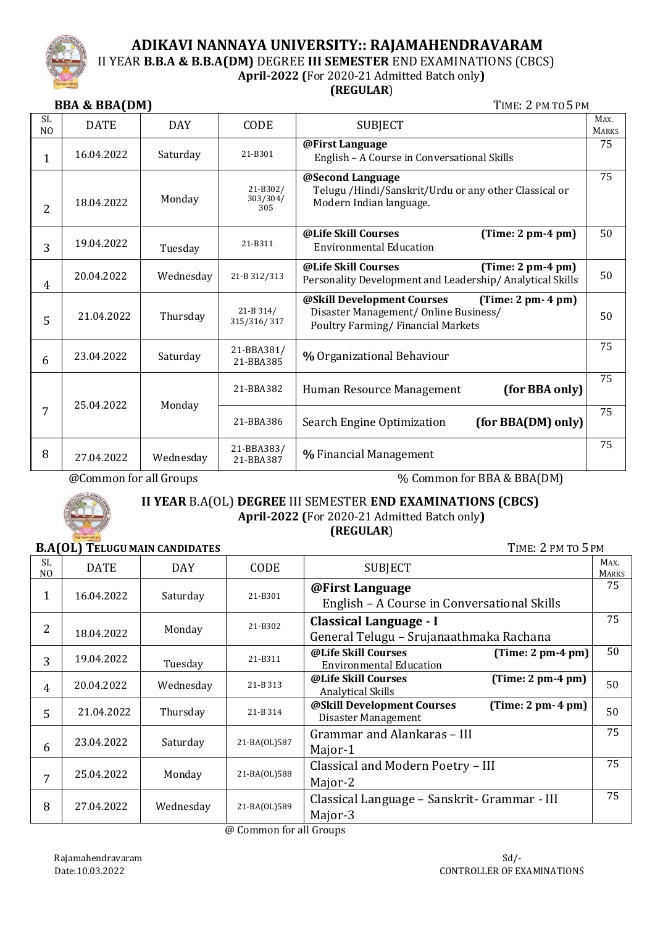

II YEAR **B.B.A & B.B.A(DM)** DEGREE **III SEMESTER** END EXAMINATIONS (CBCS)

## **April-2022 (**For 2020-21 Admitted Batch only**)**

### **(REGULAR**)

| <b>BBA &amp; BBA(DM)</b>    |             |            |                              | TIME: 2 PM TO 5 PM                                                                                                              |                      |  |
|-----------------------------|-------------|------------|------------------------------|---------------------------------------------------------------------------------------------------------------------------------|----------------------|--|
| <b>SL</b><br>N <sub>O</sub> | <b>DATE</b> | <b>DAY</b> | CODE                         | <b>SUBJECT</b>                                                                                                                  | MAX.<br><b>MARKS</b> |  |
| $\mathbf{1}$                | 16.04.2022  | Saturday   | 21-B301                      | @First Language<br>English - A Course in Conversational Skills                                                                  | 75                   |  |
| $\overline{2}$              | 18.04.2022  | Monday     | 21-B302/<br>303/304/<br>305  | @Second Language<br>Telugu / Hindi/Sanskrit/Urdu or any other Classical or<br>Modern Indian language.                           | 75                   |  |
| 3                           | 19.04.2022  | Tuesday    | 21-B311                      | @Life Skill Courses<br>$(Time: 2 pm-4 pm)$<br><b>Environmental Education</b>                                                    | 50                   |  |
| 4                           | 20.04.2022  | Wednesday  | 21-B 312/313                 | @Life Skill Courses<br>$(Time: 2 pm-4 pm)$<br>Personality Development and Leadership/Analytical Skills                          | 50                   |  |
| 5                           | 21.04.2022  | Thursday   | $21 - B 314/$<br>315/316/317 | @Skill Development Courses<br>$(Time: 2 pm-4 pm)$<br>Disaster Management/ Online Business/<br>Poultry Farming/Financial Markets | 50                   |  |
| 6                           | 23.04.2022  | Saturday   | 21-BBA381/<br>21-BBA385      | % Organizational Behaviour                                                                                                      | 75                   |  |
|                             |             |            | 21-BBA382                    | (for BBA only)<br>Human Resource Management                                                                                     | 75                   |  |
| $\overline{7}$              | 25.04.2022  | Monday     | 21-BBA386                    | (for BBA(DM) only)<br>Search Engine Optimization                                                                                | 75                   |  |
| 8                           | 27.04.2022  | Wednesday  | 21-BBA383/<br>21-BBA387      | % Financial Management                                                                                                          | 75                   |  |

@Common for all Groups % Common for BBA & BBA(DM)



#### **II YEAR** B.A(OL) **DEGREE** III SEMESTER **END EXAMINATIONS (CBCS) April-2022 (**For 2020-21 Admitted Batch only**) (REGULAR**)

### **B.A(OL) TELUGU MAIN CANDIDATES** TIME: 2 PM TO 5 PM

| <b>SL</b><br>N <sub>O</sub> | <b>DATE</b> | <b>DAY</b> | CODE         | <b>SUBJECT</b>                                                               | MAX.<br><b>MARKS</b> |
|-----------------------------|-------------|------------|--------------|------------------------------------------------------------------------------|----------------------|
| 1                           | 16.04.2022  | Saturday   | 21-B301      | @First Language<br>English - A Course in Conversational Skills               | 75                   |
| 2                           | 18.04.2022  | Monday     | 21-B302      | <b>Classical Language - I</b><br>General Telugu - Srujanaathmaka Rachana     | 75                   |
| 3                           | 19.04.2022  | Tuesday    | 21-B311      | @Life Skill Courses<br>$(Time: 2 pm-4 pm)$<br><b>Environmental Education</b> | 50                   |
| 4                           | 20.04.2022  | Wednesday  | 21-B 313     | $(Time: 2 pm-4 pm)$<br>@Life Skill Courses<br>Analytical Skills              | 50                   |
| 5                           | 21.04.2022  | Thursday   | 21-B 314     | @Skill Development Courses<br>$(Time: 2 pm-4 pm)$<br>Disaster Management     | 50                   |
| 6                           | 23.04.2022  | Saturday   | 21-BA(OL)587 | Grammar and Alankaras - III<br>Major-1                                       | 75                   |
| 7                           | 25.04.2022  | Monday     | 21-BA(OL)588 | Classical and Modern Poetry - III<br>Major-2                                 | 75                   |
| 8                           | 27.04.2022  | Wednesday  | 21-BA(OL)589 | Classical Language - Sanskrit- Grammar - III<br>Major-3                      | 75                   |

@ Common for all Groups